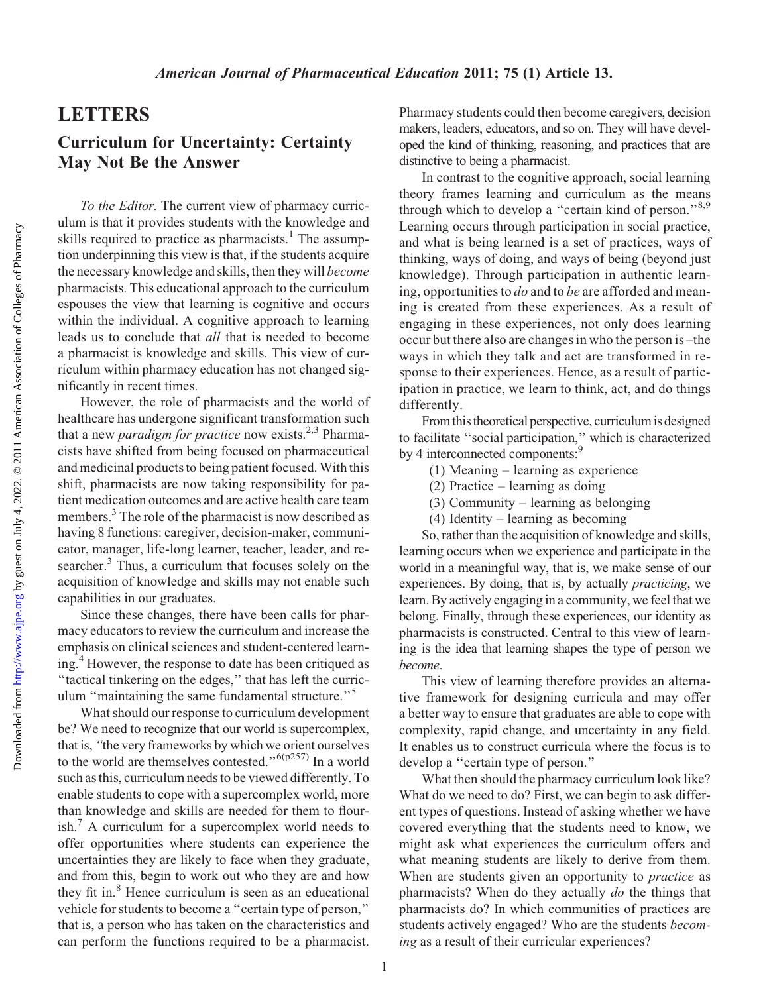# **LETTERS**

## Curriculum for Uncertainty: Certainty May Not Be the Answer

To the Editor. The current view of pharmacy curriculum is that it provides students with the knowledge and skills required to practice as pharmacists.<sup>1</sup> The assumption underpinning this view is that, if the students acquire the necessary knowledge and skills, then they will become pharmacists. This educational approach to the curriculum espouses the view that learning is cognitive and occurs within the individual. A cognitive approach to learning leads us to conclude that all that is needed to become a pharmacist is knowledge and skills. This view of curriculum within pharmacy education has not changed significantly in recent times.

However, the role of pharmacists and the world of healthcare has undergone significant transformation such that a new *paradigm for practice* now exists.<sup>2,3</sup> Pharmacists have shifted from being focused on pharmaceutical and medicinal products to being patient focused.With this shift, pharmacists are now taking responsibility for patient medication outcomes and are active health care team members.3 The role of the pharmacist is now described as having 8 functions: caregiver, decision-maker, communicator, manager, life-long learner, teacher, leader, and researcher.<sup>3</sup> Thus, a curriculum that focuses solely on the acquisition of knowledge and skills may not enable such capabilities in our graduates.

Since these changes, there have been calls for pharmacy educators to review the curriculum and increase the emphasis on clinical sciences and student-centered learning.<sup>4</sup> However, the response to date has been critiqued as ''tactical tinkering on the edges,'' that has left the curriculum "maintaining the same fundamental structure."<sup>5</sup>

What should our response to curriculum development be? We need to recognize that our world is supercomplex, that is,''the very frameworks by which we orient ourselves to the world are themselves contested."<sup>6(p257)</sup> In a world such as this, curriculum needs to be viewed differently. To enable students to cope with a supercomplex world, more than knowledge and skills are needed for them to flourish.7 A curriculum for a supercomplex world needs to offer opportunities where students can experience the uncertainties they are likely to face when they graduate, and from this, begin to work out who they are and how they fit in.<sup>8</sup> Hence curriculum is seen as an educational vehicle for students to become a ''certain type of person,'' that is, a person who has taken on the characteristics and can perform the functions required to be a pharmacist.

Pharmacy students could then become caregivers, decision makers, leaders, educators, and so on. They will have developed the kind of thinking, reasoning, and practices that are distinctive to being a pharmacist.

In contrast to the cognitive approach, social learning theory frames learning and curriculum as the means through which to develop a "certain kind of person."<sup>8,9</sup> Learning occurs through participation in social practice, and what is being learned is a set of practices, ways of thinking, ways of doing, and ways of being (beyond just knowledge). Through participation in authentic learning, opportunities to do and to be are afforded and meaning is created from these experiences. As a result of engaging in these experiences, not only does learning occur but there also are changes in who the person is –the ways in which they talk and act are transformed in response to their experiences. Hence, as a result of participation in practice, we learn to think, act, and do things differently.

From this theoretical perspective, curriculum is designed to facilitate ''social participation,'' which is characterized by 4 interconnected components:<sup>9</sup>

- (1) Meaning learning as experience
- (2) Practice learning as doing
- (3) Community learning as belonging
- (4) Identity learning as becoming

So, rather than the acquisition of knowledge and skills, learning occurs when we experience and participate in the world in a meaningful way, that is, we make sense of our experiences. By doing, that is, by actually practicing, we learn. By actively engaging in a community, we feel that we belong. Finally, through these experiences, our identity as pharmacists is constructed. Central to this view of learning is the idea that learning shapes the type of person we become.

This view of learning therefore provides an alternative framework for designing curricula and may offer a better way to ensure that graduates are able to cope with complexity, rapid change, and uncertainty in any field. It enables us to construct curricula where the focus is to develop a ''certain type of person.''

What then should the pharmacy curriculum look like? What do we need to do? First, we can begin to ask different types of questions. Instead of asking whether we have covered everything that the students need to know, we might ask what experiences the curriculum offers and what meaning students are likely to derive from them. When are students given an opportunity to *practice* as pharmacists? When do they actually do the things that pharmacists do? In which communities of practices are students actively engaged? Who are the students becoming as a result of their curricular experiences?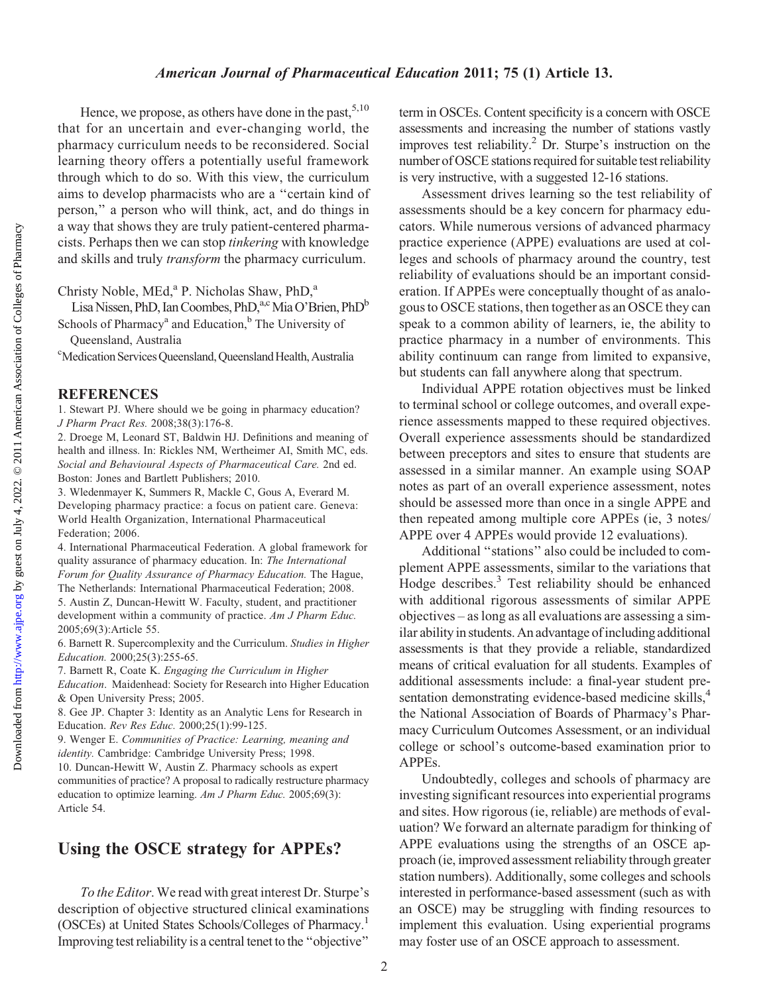Hence, we propose, as others have done in the past,  $5,10$ that for an uncertain and ever-changing world, the pharmacy curriculum needs to be reconsidered. Social learning theory offers a potentially useful framework through which to do so. With this view, the curriculum aims to develop pharmacists who are a ''certain kind of person,'' a person who will think, act, and do things in a way that shows they are truly patient-centered pharmacists. Perhaps then we can stop tinkering with knowledge and skills and truly transform the pharmacy curriculum.

Lisa Nissen, PhD, Ian Coombes, PhD,<sup>a,c</sup> MiaO'Brien, PhD<sup>b</sup> Schools of Pharmacy<sup>a</sup> and Education,<sup>b</sup> The University of

Queensland, Australia

<sup>c</sup>Medication Services Queensland, Queensland Health, Australia

#### **REFERENCES**

1. Stewart PJ. Where should we be going in pharmacy education? J Pharm Pract Res. 2008;38(3):176-8.

2. Droege M, Leonard ST, Baldwin HJ. Definitions and meaning of health and illness. In: Rickles NM, Wertheimer AI, Smith MC, eds. Social and Behavioural Aspects of Pharmaceutical Care. 2nd ed. Boston: Jones and Bartlett Publishers; 2010.

3. Wledenmayer K, Summers R, Mackle C, Gous A, Everard M. Developing pharmacy practice: a focus on patient care. Geneva: World Health Organization, International Pharmaceutical Federation; 2006.

4. International Pharmaceutical Federation. A global framework for quality assurance of pharmacy education. In: The International Forum for Quality Assurance of Pharmacy Education. The Hague, The Netherlands: International Pharmaceutical Federation; 2008. 5. Austin Z, Duncan-Hewitt W. Faculty, student, and practitioner development within a community of practice. Am J Pharm Educ. 2005;69(3):Article 55.

6. Barnett R. Supercomplexity and the Curriculum. Studies in Higher Education. 2000;25(3):255-65.

7. Barnett R, Coate K. Engaging the Curriculum in Higher Education. Maidenhead: Society for Research into Higher Education & Open University Press; 2005.

8. Gee JP. Chapter 3: Identity as an Analytic Lens for Research in Education. Rev Res Educ. 2000;25(1):99-125.

9. Wenger E. Communities of Practice: Learning, meaning and identity. Cambridge: Cambridge University Press; 1998.

10. Duncan-Hewitt W, Austin Z. Pharmacy schools as expert communities of practice? A proposal to radically restructure pharmacy education to optimize learning. Am J Pharm Educ. 2005;69(3): Article 54.

#### Using the OSCE strategy for APPEs?

To the Editor. We read with great interest Dr. Sturpe's description of objective structured clinical examinations (OSCEs) at United States Schools/Colleges of Pharmacy.1 Improving test reliability is a central tenet to the ''objective''

term in OSCEs. Content specificity is a concern with OSCE assessments and increasing the number of stations vastly improves test reliability.2 Dr. Sturpe's instruction on the number of OSCE stations required for suitable test reliability is very instructive, with a suggested 12-16 stations.

Assessment drives learning so the test reliability of assessments should be a key concern for pharmacy educators. While numerous versions of advanced pharmacy practice experience (APPE) evaluations are used at colleges and schools of pharmacy around the country, test reliability of evaluations should be an important consideration. If APPEs were conceptually thought of as analogous to OSCE stations, then together as an OSCE they can speak to a common ability of learners, ie, the ability to practice pharmacy in a number of environments. This ability continuum can range from limited to expansive, but students can fall anywhere along that spectrum.

Individual APPE rotation objectives must be linked to terminal school or college outcomes, and overall experience assessments mapped to these required objectives. Overall experience assessments should be standardized between preceptors and sites to ensure that students are assessed in a similar manner. An example using SOAP notes as part of an overall experience assessment, notes should be assessed more than once in a single APPE and then repeated among multiple core APPEs (ie, 3 notes/ APPE over 4 APPEs would provide 12 evaluations).

Additional ''stations'' also could be included to complement APPE assessments, similar to the variations that Hodge describes.<sup>3</sup> Test reliability should be enhanced with additional rigorous assessments of similar APPE objectives – as long as all evaluations are assessing a similar ability in students. An advantage of including additional assessments is that they provide a reliable, standardized means of critical evaluation for all students. Examples of additional assessments include: a final-year student presentation demonstrating evidence-based medicine skills,<sup>4</sup> the National Association of Boards of Pharmacy's Pharmacy Curriculum Outcomes Assessment, or an individual college or school's outcome-based examination prior to APPEs.

Undoubtedly, colleges and schools of pharmacy are investing significant resources into experiential programs and sites. How rigorous (ie, reliable) are methods of evaluation? We forward an alternate paradigm for thinking of APPE evaluations using the strengths of an OSCE approach (ie, improved assessment reliability through greater station numbers). Additionally, some colleges and schools interested in performance-based assessment (such as with an OSCE) may be struggling with finding resources to implement this evaluation. Using experiential programs may foster use of an OSCE approach to assessment.

Christy Noble, MEd,<sup>a</sup> P. Nicholas Shaw, PhD,<sup>a</sup>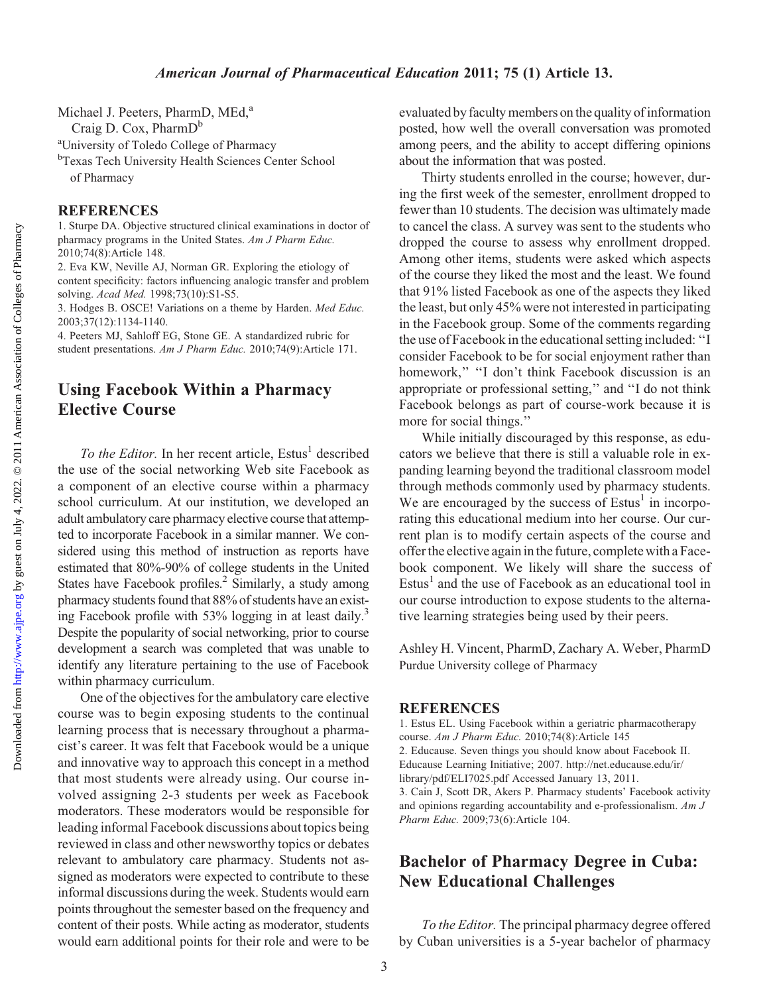Downloaded from

Michael J. Peeters, PharmD, MEd,<sup>a</sup> Craig D. Cox, Pharm $D^b$ <sup>a</sup> University of Toledo College of Pharmacy <sup>b</sup>Texas Tech University Health Sciences Center School of Pharmacy

#### **REFERENCES**

1. Sturpe DA. Objective structured clinical examinations in doctor of pharmacy programs in the United States. Am J Pharm Educ. 2010;74(8):Article 148.

2. Eva KW, Neville AJ, Norman GR. Exploring the etiology of content specificity: factors influencing analogic transfer and problem solving. Acad Med. 1998;73(10):S1-S5.

3. Hodges B. OSCE! Variations on a theme by Harden. Med Educ. 2003;37(12):1134-1140.

4. Peeters MJ, Sahloff EG, Stone GE. A standardized rubric for student presentations. Am J Pharm Educ. 2010;74(9):Article 171.

### Using Facebook Within a Pharmacy Elective Course

To the Editor. In her recent article,  $Estus<sup>1</sup>$  described the use of the social networking Web site Facebook as a component of an elective course within a pharmacy school curriculum. At our institution, we developed an adult ambulatory care pharmacy elective course that attempted to incorporate Facebook in a similar manner. We considered using this method of instruction as reports have estimated that 80%-90% of college students in the United States have Facebook profiles.<sup>2</sup> Similarly, a study among pharmacy students found that 88% of students have an existing Facebook profile with  $53\%$  logging in at least daily.<sup>3</sup> Despite the popularity of social networking, prior to course development a search was completed that was unable to identify any literature pertaining to the use of Facebook within pharmacy curriculum.

One of the objectives for the ambulatory care elective course was to begin exposing students to the continual learning process that is necessary throughout a pharmacist's career. It was felt that Facebook would be a unique and innovative way to approach this concept in a method that most students were already using. Our course involved assigning 2-3 students per week as Facebook moderators. These moderators would be responsible for leading informal Facebook discussions about topics being reviewed in class and other newsworthy topics or debates relevant to ambulatory care pharmacy. Students not assigned as moderators were expected to contribute to these informal discussions during the week. Students would earn points throughout the semester based on the frequency and content of their posts. While acting as moderator, students would earn additional points for their role and were to be

evaluated by faculty members on the quality of information posted, how well the overall conversation was promoted among peers, and the ability to accept differing opinions about the information that was posted.

Thirty students enrolled in the course; however, during the first week of the semester, enrollment dropped to fewer than 10 students. The decision was ultimately made to cancel the class. A survey was sent to the students who dropped the course to assess why enrollment dropped. Among other items, students were asked which aspects of the course they liked the most and the least. We found that 91% listed Facebook as one of the aspects they liked the least, but only 45% were not interested in participating in the Facebook group. Some of the comments regarding the use of Facebook in the educational setting included: ''I consider Facebook to be for social enjoyment rather than homework," "I don't think Facebook discussion is an appropriate or professional setting,'' and ''I do not think Facebook belongs as part of course-work because it is more for social things.''

While initially discouraged by this response, as educators we believe that there is still a valuable role in expanding learning beyond the traditional classroom model through methods commonly used by pharmacy students. We are encouraged by the success of  $Estus<sup>1</sup>$  in incorporating this educational medium into her course. Our current plan is to modify certain aspects of the course and offer the elective again in the future, complete with a Facebook component. We likely will share the success of Estus<sup>1</sup> and the use of Facebook as an educational tool in our course introduction to expose students to the alternative learning strategies being used by their peers.

Ashley H. Vincent, PharmD, Zachary A. Weber, PharmD Purdue University college of Pharmacy

#### **REFERENCES**

1. Estus EL. Using Facebook within a geriatric pharmacotherapy course. Am J Pharm Educ. 2010;74(8):Article 145 2. Educause. Seven things you should know about Facebook II. Educause Learning Initiative; 2007. http://net.educause.edu/ir/ library/pdf/ELI7025.pdf Accessed January 13, 2011. 3. Cain J, Scott DR, Akers P. Pharmacy students' Facebook activity and opinions regarding accountability and e-professionalism. Am J Pharm Educ. 2009;73(6):Article 104.

## Bachelor of Pharmacy Degree in Cuba: New Educational Challenges

To the Editor. The principal pharmacy degree offered by Cuban universities is a 5-year bachelor of pharmacy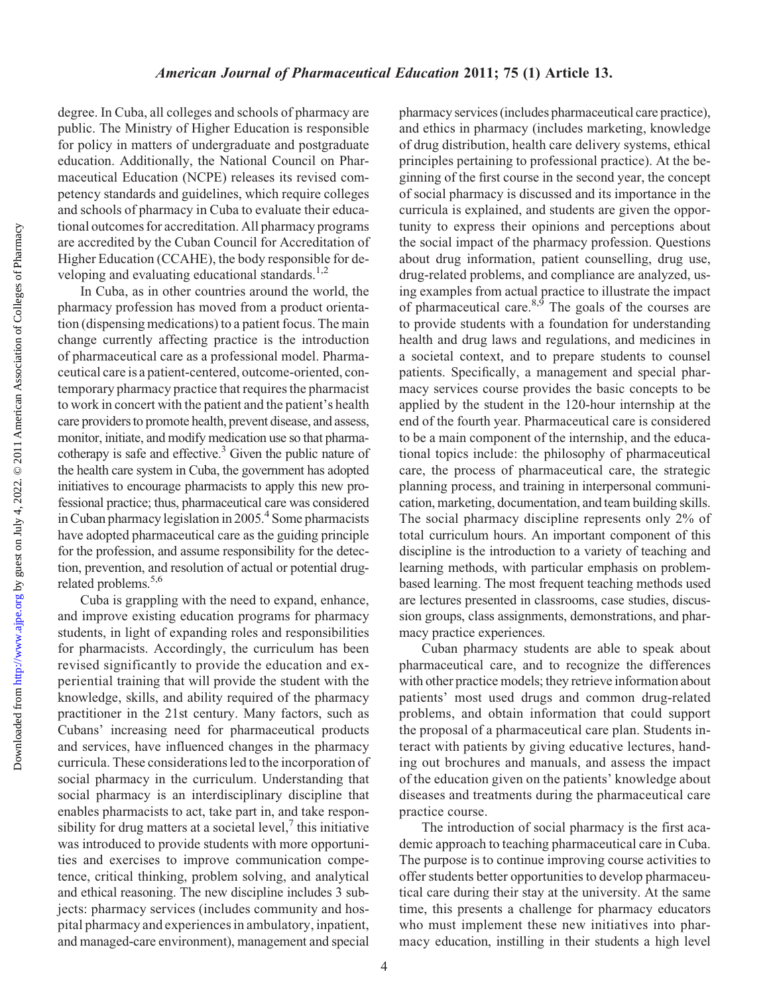<http://www.ajpe.org>

Downloaded from

degree. In Cuba, all colleges and schools of pharmacy are public. The Ministry of Higher Education is responsible for policy in matters of undergraduate and postgraduate education. Additionally, the National Council on Pharmaceutical Education (NCPE) releases its revised competency standards and guidelines, which require colleges and schools of pharmacy in Cuba to evaluate their educational outcomes for accreditation. All pharmacy programs are accredited by the Cuban Council for Accreditation of Higher Education (CCAHE), the body responsible for developing and evaluating educational standards.<sup>1,2</sup>

In Cuba, as in other countries around the world, the pharmacy profession has moved from a product orientation (dispensing medications) to a patient focus. The main change currently affecting practice is the introduction of pharmaceutical care as a professional model. Pharmaceutical care is a patient-centered, outcome-oriented, contemporary pharmacy practice that requires the pharmacist to work in concert with the patient and the patient's health care providers to promote health, prevent disease, and assess, monitor, initiate, and modify medication use so that pharmacotherapy is safe and effective.3 Given the public nature of the health care system in Cuba, the government has adopted initiatives to encourage pharmacists to apply this new professional practice; thus, pharmaceutical care was considered in Cuban pharmacy legislation in 2005.4 Some pharmacists have adopted pharmaceutical care as the guiding principle for the profession, and assume responsibility for the detection, prevention, and resolution of actual or potential drugrelated problems.<sup>5,6</sup>

Cuba is grappling with the need to expand, enhance, and improve existing education programs for pharmacy students, in light of expanding roles and responsibilities for pharmacists. Accordingly, the curriculum has been revised significantly to provide the education and experiential training that will provide the student with the knowledge, skills, and ability required of the pharmacy practitioner in the 21st century. Many factors, such as Cubans' increasing need for pharmaceutical products and services, have influenced changes in the pharmacy curricula. These considerations led to the incorporation of social pharmacy in the curriculum. Understanding that social pharmacy is an interdisciplinary discipline that enables pharmacists to act, take part in, and take responsibility for drug matters at a societal level, $\frac{7}{7}$  this initiative was introduced to provide students with more opportunities and exercises to improve communication competence, critical thinking, problem solving, and analytical and ethical reasoning. The new discipline includes 3 subjects: pharmacy services (includes community and hospital pharmacy and experiences in ambulatory, inpatient, and managed-care environment), management and special

pharmacy services (includes pharmaceutical care practice), and ethics in pharmacy (includes marketing, knowledge of drug distribution, health care delivery systems, ethical principles pertaining to professional practice). At the beginning of the first course in the second year, the concept of social pharmacy is discussed and its importance in the curricula is explained, and students are given the opportunity to express their opinions and perceptions about the social impact of the pharmacy profession. Questions about drug information, patient counselling, drug use, drug-related problems, and compliance are analyzed, using examples from actual practice to illustrate the impact of pharmaceutical care. $8,9$  The goals of the courses are to provide students with a foundation for understanding health and drug laws and regulations, and medicines in a societal context, and to prepare students to counsel patients. Specifically, a management and special pharmacy services course provides the basic concepts to be applied by the student in the 120-hour internship at the end of the fourth year. Pharmaceutical care is considered to be a main component of the internship, and the educational topics include: the philosophy of pharmaceutical care, the process of pharmaceutical care, the strategic planning process, and training in interpersonal communication, marketing, documentation, and team building skills. The social pharmacy discipline represents only 2% of total curriculum hours. An important component of this discipline is the introduction to a variety of teaching and learning methods, with particular emphasis on problembased learning. The most frequent teaching methods used are lectures presented in classrooms, case studies, discussion groups, class assignments, demonstrations, and pharmacy practice experiences.

Cuban pharmacy students are able to speak about pharmaceutical care, and to recognize the differences with other practice models; they retrieve information about patients' most used drugs and common drug-related problems, and obtain information that could support the proposal of a pharmaceutical care plan. Students interact with patients by giving educative lectures, handing out brochures and manuals, and assess the impact of the education given on the patients' knowledge about diseases and treatments during the pharmaceutical care practice course.

The introduction of social pharmacy is the first academic approach to teaching pharmaceutical care in Cuba. The purpose is to continue improving course activities to offer students better opportunities to develop pharmaceutical care during their stay at the university. At the same time, this presents a challenge for pharmacy educators who must implement these new initiatives into pharmacy education, instilling in their students a high level